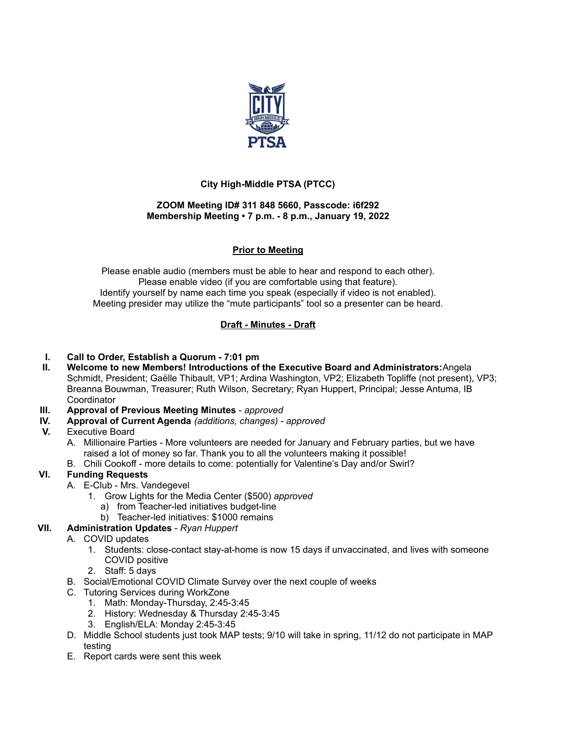

# **City High-Middle PTSA (PTCC)**

#### **ZOOM Meeting ID# 311 848 5660, Passcode: i6f292 Membership Meeting • 7 p.m. - 8 p.m., January 19, 2022**

### **Prior to Meeting**

Please enable audio (members must be able to hear and respond to each other). Please enable video (if you are comfortable using that feature). Identify yourself by name each time you speak (especially if video is not enabled). Meeting presider may utilize the "mute participants" tool so a presenter can be heard.

## **Draft - Minutes - Draft**

#### **I. Call to Order, Establish a Quorum - 7:01 pm**

- **II. Welcome to new Members! Introductions of the Executive Board and Administrators:**Angela Schmidt, President; Gaëlle Thibault, VP1; Ardina Washington, VP2; Elizabeth Topliffe (not present), VP3; Breanna Bouwman, Treasurer; Ruth Wilson, Secretary; Ryan Huppert, Principal; Jesse Antuma, IB **Coordinator**
- **III. Approval of Previous Meeting Minutes** *approved*
- **IV. Approval of Current Agenda** *(additions, changes) - approved*

#### **V.** Executive Board

- A. Millionaire Parties More volunteers are needed for January and February parties, but we have raised a lot of money so far. Thank you to all the volunteers making it possible!
- B. Chili Cookoff more details to come: potentially for Valentine's Day and/or Swirl?

#### **VI. Funding Requests**

- A. E-Club Mrs. Vandegevel
	- 1. Grow Lights for the Media Center (\$500) *approved*
		- a) from Teacher-led initiatives budget-line
		- b) Teacher-led initiatives: \$1000 remains

## **VII. Administration Updates** - *Ryan Huppert*

- A. COVID updates
	- 1. Students: close-contact stay-at-home is now 15 days if unvaccinated, and lives with someone COVID positive
	- 2. Staff: 5 days
- B. Social/Emotional COVID Climate Survey over the next couple of weeks
- C. Tutoring Services during WorkZone
	- 1. Math: Monday-Thursday, 2:45-3:45
	- 2. History: Wednesday & Thursday 2:45-3:45
	- 3. English/ELA: Monday 2:45-3:45
- D. Middle School students just took MAP tests; 9/10 will take in spring, 11/12 do not participate in MAP testing
- E. Report cards were sent this week